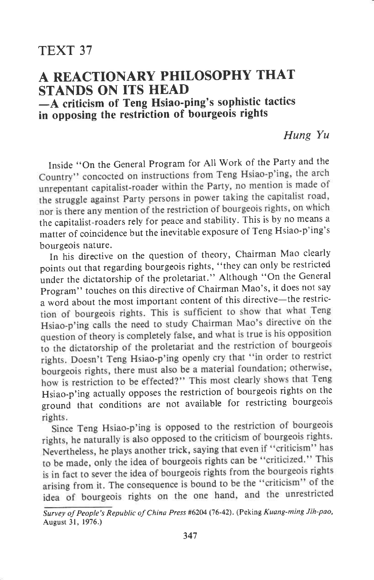## A REACTIONARY PHILOSOPHY THAT **STANDS ON ITS HEAD**<br>
—A criticism of Teng Hsiao-ping's sophistic tactics

-A criticism of Teng Hsiao-ping's sophistic tactics in opposing the restriction of bourgeois rights

## Hung Yu

Inside "On the General Program for All Work of the Party and the Country" concocted on instructions from Teng Hsiao-p'ing, the arch unrepentant capitalist-roader within the Party, no mention is made of the struggle against Party persons in power taking the capitalist road, nor is there any mention of the restriction of bourgeois rights, on which<br>the capitalist-roaders rely for peace and stability. This is by no means a matter of coincidence but the inevitable exposure of Teng Hsiao-p'ing's bourgeois nature.

In his directive on the question of theory, chairman Mao clearly points out that regarding bourgeois rights, "they can only be restricted under the dictatorship of the proletariat." Although "On the General program" touches on this directive of chairman Mao's, it does not say a word about the most important content of this directive—the restriction of bourgeois rights. This is sufficient to show that what Teng Hsiao-p'ing calls the need to study Chairman Mao's directive on the question of theory is completely false, and what is true is his opposition to the dictatorship of the proletariat and the restriction of bourgeois rights. Doesn't Teng Hsiao-p'ing openly cry that "in order to restrict bourgeois rights, there must also be a material foundation; otherwise, how is restriction to be effected?" This most clearly shows that Teng Hsiao-p'ing actually opposes the restriction of bourgeois rights on the ground that conditions are not available for restricting bourgeois rights.

Since Teng Hsiao-p'ing is opposed to the restriction of bourgeois rights, he naturally is also opposed to the criticism of bourgeois rights. Nevertheless, he plays another trick, saying that even if "criticism" has to be made, only the idea of bourgeois rights can be "criticized." This is in fact to sever the idea of bourgeois rights from the bourgeois rights arising from it. The consequence is bound to be the "criticism" of the idea of bourgeois rights on the one hand, and the unrestricted

Survey of People's Republic of China Press #6204 (76-42). (Peking Kuang-ming Jih-pao, August 31, 1976.)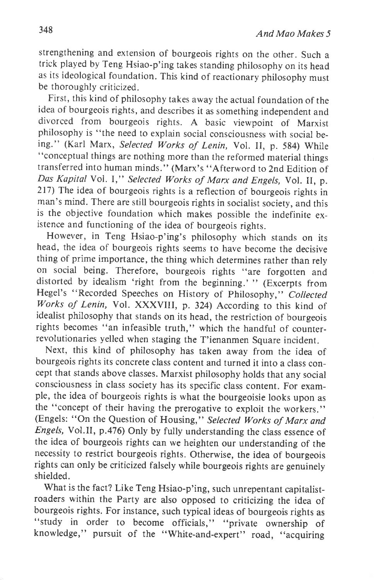strengthening and extension of bourgeois rights on the other. Such <sup>a</sup> trick played by Teng Hsiao-p'ing takes standing philosophy on its head as its ideological foundation. This kind of reactionary philosophy must be thoroughly criticized.

First, this kind of philosophy takes away the actual foundation of the idea of bourgeois rights, and describes it as something independent and divorced from bourgeois rights. A basic viewpoint of Marxist philosophy is "the need to explain social consciousness with social being." (Karl Marx, Selected Works of Lenin, Vol. II, p. 584) While "conceptual things are nothing more than the reformed material things transferred into human minds." (Marx's "Afterword to 2nd Edition of Das Kapital Vol. I," Selected Works of Marx and Engels, Vol. II, p. 211) The idea of bourgeois rights is a reflection of bourgeois rights in man's mind. There are still bourgeois rights in socialist society, and this is the objective foundation which makes possible the indefinite existence and functioning of the idea of bourgeois rights.

However, in Teng Hsiao-p'ing's philosophy which stands on its head, the idea of bourgeois rights seems to have become the decisive thing of prime importance, the thing which determines rather than rely on social being. Therefore, bourgeois rights "are forgotten and distorted by idealism 'right from the beginning.' " (Excerpts from Hegel's "Recorded Speeches on History of Philosophy," Collected Works of Lenin, Vol. XXXVIII, p. 324) According to this kind of idealist philosophy that stands on its head, the restriction of bourgeois rights becomes "an infeasible truth," which the handful of counterrevolutionaries yelled when staging the T'ienanmen Square incident.

Next, this kind of philosophy has taken away from the idea of bourgeois rights its concrete class content and turned it into a class concept that stands above classes. Marxist philosophy holds that any social consciousness in class society has its specific class content. For example, the idea of bourgeois rights is what the bourgeoisie looks upon as the "concept of their having the prerogative to exploit the workers." (Engels: "On the Question of Housing," Selected Works of Marx and Engels, Vol.II, p.476) Only by fully understanding the class essence of the idea of bourgeois rights can we heighten our understanding of the necessity to restrict bourgeois rights. Otherwise, the idea of bourgeois rights can only be criticized falsely while bourgeois rights are genuinely shielded.

What is the fact? Like Teng Hsiao-p'ing, such unrepentant capitalistroaders within the Party are also opposed to criticizing the idea of bourgeois rights. For instance, such typical ideas of bourgeois rights as "study in order to become officials," "private ownership of knowledge," pursuit of the "White-and-expert" road, "acquiring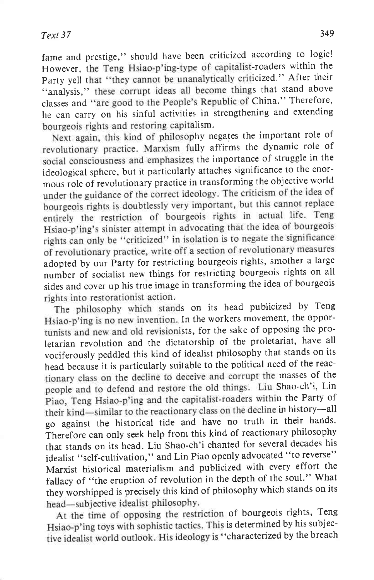fame and prestige," should have been criticized according to logic! However, the Teng Hsiao-p'ing-type of capitalist-roaders within the Party yell that "they cannot be unanalytically criticized." After their "analysis," these corrupt ideas all become things that stand above classes and "are good to the People's Republic of China." Therefore, he can carry on his sinful activities in strengthening and extending bourgeois rights and restoring capitalism.

Next again, this kind of philosophy negates the important role of revolutionary practice. Marxism fully affirms the dynamic role of social consciousness and emphasizes the importance of struggle in the ideological sphere, but it particularly attaches significance to the enormous role of revolutionary practice in transforming the objective world bourgeois rights is doubtlessly very important, but this cannot replace entirely the restriction of bourgeois rights in actual life. Teng Hsiao-p'ing's sinister attempt in advocating that the idea of bourgeois rights can only be "criticized" in isolation is to negate the significance of revolutionary practice, write off a section of revolutionary measures adopted by our Party for restricting bourgeois rights, smother a large number of socialist new things for restricting bourgeois rights on all sides and cover up his true image in transforming the idea of bourgeois rights into restorationist action.

The philosophy which stands on its head publicized by Teng Hsiao-p'ing is no new invention. In the workers movement, the opportunists and new and old revisionists, for the sake of opposing the proletarian revolution and the dictatorship of the proletariat, have all vociferously peddled this kind of idealist philosophy that stands on its head because it is particularly suitable to the political need of the reactionary class on the decline to deceive and corrupt the masses of the people and to defend and restore the old things. Liu Shao-ch'i, Lin Piao, Teng Hsiao-p'ing and the capitalist-roaders within the Party of their kind-similar to the reactionary class on the decline in history-all go against the historical tide and have no truth in their hands. Therefore can only seek help from this kind of reactionary philosophy that stands on its head. Liu Shao-ch'i chanted for several decades his idealist "self-cultivation," and Lin Piao openly advocated "to reverse" Marxist historical materialism and publicized with every effort the fallacy of "the eruption of revolution in the depth of the soul." What they worshipped is precisely this kind of philosophy which stands on its head—subjective idealist philosophy.

At the time of opposing the restriction of bourgeois rights, Teng Hsiao-p'ing toys with sophistic tactics. This is determined by his subjective idealist world outlook. His ideology is "characterized by the breach